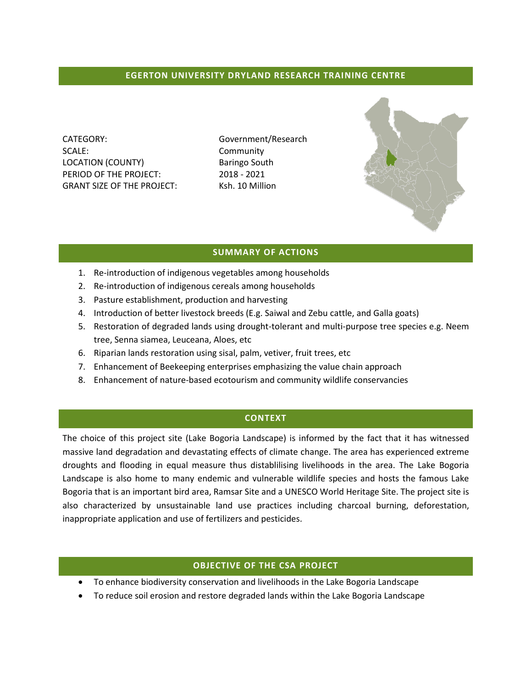### **EGERTON UNIVERSITY DRYLAND RESEARCH TRAINING CENTRE**

CATEGORY: Government/Research SCALE: Community LOCATION (COUNTY) Baringo South PERIOD OF THE PROJECT: 2018 - 2021 GRANT SIZE OF THE PROJECT: Ksh. 10 Million



#### **SUMMARY OF ACTIONS**

- 1. Re-introduction of indigenous vegetables among households
- 2. Re-introduction of indigenous cereals among households
- 3. Pasture establishment, production and harvesting
- 4. Introduction of better livestock breeds (E.g. Saiwal and Zebu cattle, and Galla goats)
- 5. Restoration of degraded lands using drought-tolerant and multi-purpose tree species e.g. Neem tree, Senna siamea, Leuceana, Aloes, etc
- 6. Riparian lands restoration using sisal, palm, vetiver, fruit trees, etc
- 7. Enhancement of Beekeeping enterprises emphasizing the value chain approach
- 8. Enhancement of nature-based ecotourism and community wildlife conservancies

#### **CONTEXT**

The choice of this project site (Lake Bogoria Landscape) is informed by the fact that it has witnessed massive land degradation and devastating effects of climate change. The area has experienced extreme droughts and flooding in equal measure thus distablilising livelihoods in the area. The Lake Bogoria Landscape is also home to many endemic and vulnerable wildlife species and hosts the famous Lake Bogoria that is an important bird area, Ramsar Site and a UNESCO World Heritage Site. The project site is also characterized by unsustainable land use practices including charcoal burning, deforestation, inappropriate application and use of fertilizers and pesticides.

#### **OBJECTIVE OF THE CSA PROJECT**

- To enhance biodiversity conservation and livelihoods in the Lake Bogoria Landscape
- To reduce soil erosion and restore degraded lands within the Lake Bogoria Landscape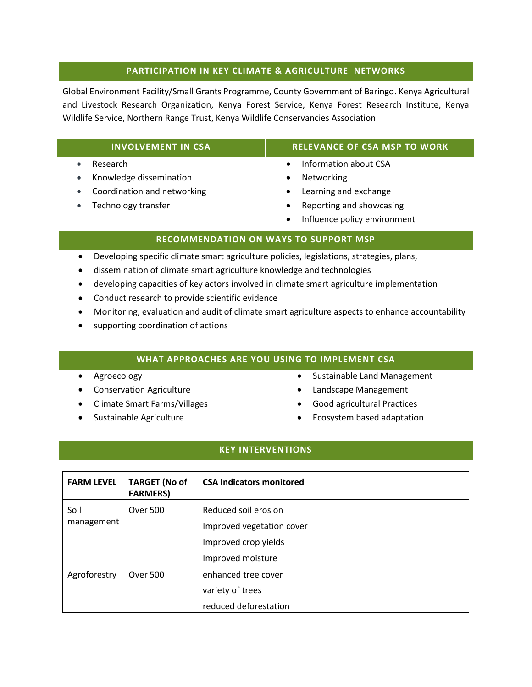### **PARTICIPATION IN KEY CLIMATE & AGRICULTURE NETWORKS**

Global Environment Facility/Small Grants Programme, County Government of Baringo. Kenya Agricultural and Livestock Research Organization, Kenya Forest Service, Kenya Forest Research Institute, Kenya Wildlife Service, Northern Range Trust, Kenya Wildlife Conservancies Association

#### • Research

- Knowledge dissemination
- Coordination and networking
- Technology transfer

# **INVOLVEMENT IN CSA RELEVANCE OF CSA MSP TO WORK**

- Information about CSA
- Networking
- Learning and exchange
- Reporting and showcasing
- Influence policy environment

# **RECOMMENDATION ON WAYS TO SUPPORT MSP**

- Developing specific climate smart agriculture policies, legislations, strategies, plans,
- dissemination of climate smart agriculture knowledge and technologies
- developing capacities of key actors involved in climate smart agriculture implementation
- Conduct research to provide scientific evidence
- Monitoring, evaluation and audit of climate smart agriculture aspects to enhance accountability
- supporting coordination of actions

# **WHAT APPROACHES ARE YOU USING TO IMPLEMENT CSA**

- Agroecology
- Conservation Agriculture
- Climate Smart Farms/Villages
- Sustainable Agriculture
- Sustainable Land Management
- Landscape Management
- Good agricultural Practices
- Ecosystem based adaptation

# **KEY INTERVENTIONS**

| <b>FARM LEVEL</b>  | <b>TARGET (No of</b><br><b>FARMERS)</b> | <b>CSA Indicators monitored</b> |
|--------------------|-----------------------------------------|---------------------------------|
| Soil<br>management | Over 500                                | Reduced soil erosion            |
|                    |                                         | Improved vegetation cover       |
|                    |                                         | Improved crop yields            |
|                    |                                         | Improved moisture               |
| Agroforestry       | Over 500                                | enhanced tree cover             |
|                    |                                         | variety of trees                |
|                    |                                         | reduced deforestation           |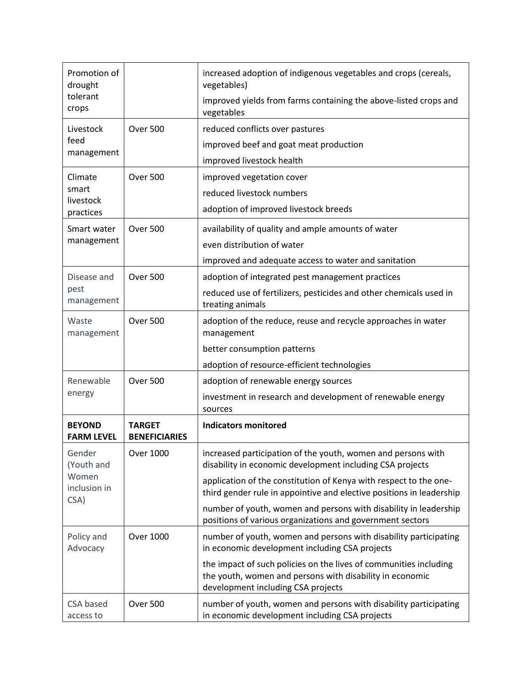| Promotion of<br>drought                               |                                       | increased adoption of indigenous vegetables and crops (cereals,<br>vegetables)                                                                                      |
|-------------------------------------------------------|---------------------------------------|---------------------------------------------------------------------------------------------------------------------------------------------------------------------|
| tolerant<br>crops                                     |                                       | improved yields from farms containing the above-listed crops and<br>vegetables                                                                                      |
| Livestock<br>feed<br>management                       | <b>Over 500</b>                       | reduced conflicts over pastures                                                                                                                                     |
|                                                       |                                       | improved beef and goat meat production                                                                                                                              |
|                                                       |                                       | improved livestock health                                                                                                                                           |
| Climate<br>smart<br>livestock                         | <b>Over 500</b>                       | improved vegetation cover                                                                                                                                           |
|                                                       |                                       | reduced livestock numbers                                                                                                                                           |
| practices                                             |                                       | adoption of improved livestock breeds                                                                                                                               |
| Smart water<br>management                             | <b>Over 500</b>                       | availability of quality and ample amounts of water                                                                                                                  |
|                                                       |                                       | even distribution of water                                                                                                                                          |
|                                                       |                                       | improved and adequate access to water and sanitation                                                                                                                |
| Disease and                                           | <b>Over 500</b>                       | adoption of integrated pest management practices                                                                                                                    |
| pest<br>management                                    |                                       | reduced use of fertilizers, pesticides and other chemicals used in<br>treating animals                                                                              |
| Waste<br>management                                   | <b>Over 500</b>                       | adoption of the reduce, reuse and recycle approaches in water<br>management                                                                                         |
|                                                       |                                       | better consumption patterns                                                                                                                                         |
|                                                       |                                       | adoption of resource-efficient technologies                                                                                                                         |
| Renewable                                             | <b>Over 500</b>                       | adoption of renewable energy sources                                                                                                                                |
| energy                                                |                                       | investment in research and development of renewable energy<br>sources                                                                                               |
| <b>BEYOND</b><br><b>FARM LEVEL</b>                    | <b>TARGET</b><br><b>BENEFICIARIES</b> | <b>Indicators monitored</b>                                                                                                                                         |
| Gender<br>(Youth and<br>Women<br>inclusion in<br>CSA) | Over 1000                             | increased participation of the youth, women and persons with<br>disability in economic development including CSA projects                                           |
|                                                       |                                       | application of the constitution of Kenya with respect to the one-<br>third gender rule in appointive and elective positions in leadership                           |
|                                                       |                                       | number of youth, women and persons with disability in leadership<br>positions of various organizations and government sectors                                       |
| Policy and<br>Advocacy                                | <b>Over 1000</b>                      | number of youth, women and persons with disability participating<br>in economic development including CSA projects                                                  |
|                                                       |                                       | the impact of such policies on the lives of communities including<br>the youth, women and persons with disability in economic<br>development including CSA projects |
| CSA based<br>access to                                | Over 500                              | number of youth, women and persons with disability participating<br>in economic development including CSA projects                                                  |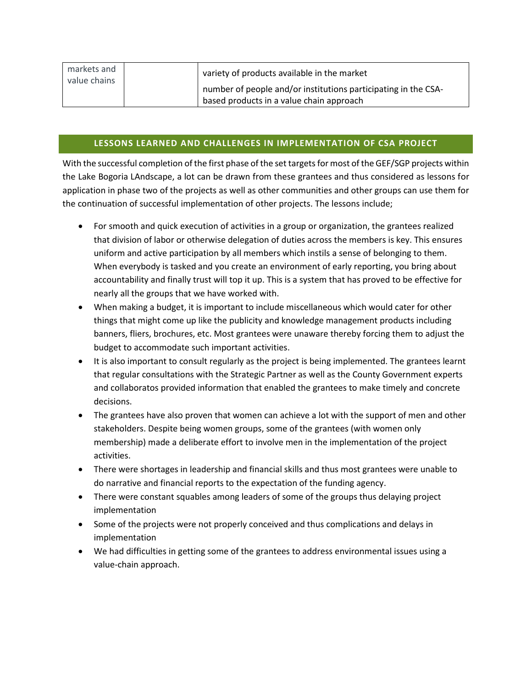| markets and<br>value chains | variety of products available in the market                                                                |
|-----------------------------|------------------------------------------------------------------------------------------------------------|
|                             | number of people and/or institutions participating in the CSA-<br>based products in a value chain approach |

# **LESSONS LEARNED AND CHALLENGES IN IMPLEMENTATION OF CSA PROJECT**

With the successful completion of the first phase of the set targets for most of the GEF/SGP projects within the Lake Bogoria LAndscape, a lot can be drawn from these grantees and thus considered as lessons for application in phase two of the projects as well as other communities and other groups can use them for the continuation of successful implementation of other projects. The lessons include;

- For smooth and quick execution of activities in a group or organization, the grantees realized that division of labor or otherwise delegation of duties across the members is key. This ensures uniform and active participation by all members which instils a sense of belonging to them. When everybody is tasked and you create an environment of early reporting, you bring about accountability and finally trust will top it up. This is a system that has proved to be effective for nearly all the groups that we have worked with.
- When making a budget, it is important to include miscellaneous which would cater for other things that might come up like the publicity and knowledge management products including banners, fliers, brochures, etc. Most grantees were unaware thereby forcing them to adjust the budget to accommodate such important activities.
- It is also important to consult regularly as the project is being implemented. The grantees learnt that regular consultations with the Strategic Partner as well as the County Government experts and collaboratos provided information that enabled the grantees to make timely and concrete decisions.
- The grantees have also proven that women can achieve a lot with the support of men and other stakeholders. Despite being women groups, some of the grantees (with women only membership) made a deliberate effort to involve men in the implementation of the project activities.
- There were shortages in leadership and financial skills and thus most grantees were unable to do narrative and financial reports to the expectation of the funding agency.
- There were constant squables among leaders of some of the groups thus delaying project implementation
- Some of the projects were not properly conceived and thus complications and delays in implementation
- We had difficulties in getting some of the grantees to address environmental issues using a value-chain approach.